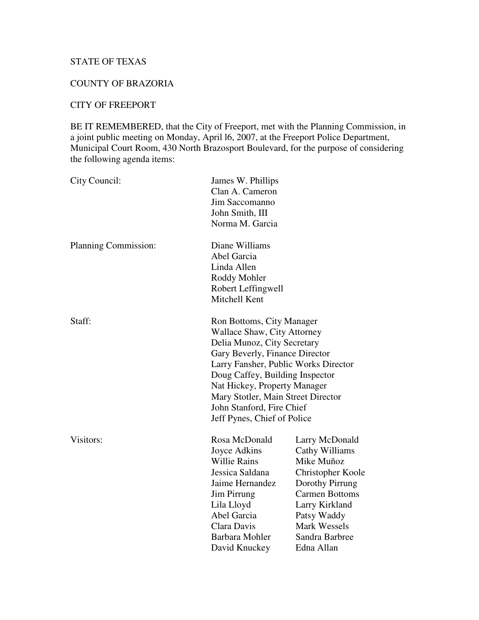# STATE OF TEXAS

# COUNTY OF BRAZORIA

# CITY OF FREEPORT

BE IT REMEMBERED, that the City of Freeport, met with the Planning Commission, in a joint public meeting on Monday, April l6, 2007, at the Freeport Police Department, Municipal Court Room, 430 North Brazosport Boulevard, for the purpose of considering the following agenda items:

| City Council:        | James W. Phillips<br>Clan A. Cameron<br>Jim Saccomanno<br>John Smith, III<br>Norma M. Garcia                                                                                                                                                                                                                                           |                                                                                                                                                                                                         |
|----------------------|----------------------------------------------------------------------------------------------------------------------------------------------------------------------------------------------------------------------------------------------------------------------------------------------------------------------------------------|---------------------------------------------------------------------------------------------------------------------------------------------------------------------------------------------------------|
| Planning Commission: | Diane Williams<br>Abel Garcia<br>Linda Allen<br>Roddy Mohler<br>Robert Leffingwell<br>Mitchell Kent                                                                                                                                                                                                                                    |                                                                                                                                                                                                         |
| Staff:               | Ron Bottoms, City Manager<br>Wallace Shaw, City Attorney<br>Delia Munoz, City Secretary<br>Gary Beverly, Finance Director<br>Larry Fansher, Public Works Director<br>Doug Caffey, Building Inspector<br>Nat Hickey, Property Manager<br>Mary Stotler, Main Street Director<br>John Stanford, Fire Chief<br>Jeff Pynes, Chief of Police |                                                                                                                                                                                                         |
| Visitors:            | Rosa McDonald<br>Joyce Adkins<br><b>Willie Rains</b><br>Jessica Saldana<br>Jaime Hernandez<br><b>Jim Pirrung</b><br>Lila Lloyd<br>Abel Garcia<br>Clara Davis<br>Barbara Mohler<br>David Knuckey                                                                                                                                        | Larry McDonald<br>Cathy Williams<br>Mike Muñoz<br>Christopher Koole<br>Dorothy Pirrung<br><b>Carmen Bottoms</b><br>Larry Kirkland<br>Patsy Waddy<br><b>Mark Wessels</b><br>Sandra Barbree<br>Edna Allan |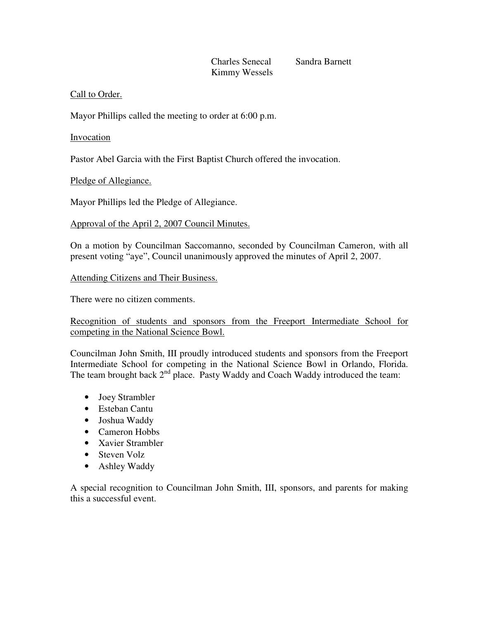# Charles Senecal Sandra Barnett Kimmy Wessels

# Call to Order.

Mayor Phillips called the meeting to order at 6:00 p.m.

# Invocation

Pastor Abel Garcia with the First Baptist Church offered the invocation.

Pledge of Allegiance.

Mayor Phillips led the Pledge of Allegiance.

## Approval of the April 2, 2007 Council Minutes.

On a motion by Councilman Saccomanno, seconded by Councilman Cameron, with all present voting "aye", Council unanimously approved the minutes of April 2, 2007.

## Attending Citizens and Their Business.

There were no citizen comments.

Recognition of students and sponsors from the Freeport Intermediate School for competing in the National Science Bowl.

Councilman John Smith, III proudly introduced students and sponsors from the Freeport Intermediate School for competing in the National Science Bowl in Orlando, Florida. The team brought back  $2^{nd}$  place. Pasty Waddy and Coach Waddy introduced the team:

- Joey Strambler
- Esteban Cantu
- Joshua Waddy
- Cameron Hobbs
- Xavier Strambler
- Steven Volz
- Ashley Waddy

A special recognition to Councilman John Smith, III, sponsors, and parents for making this a successful event.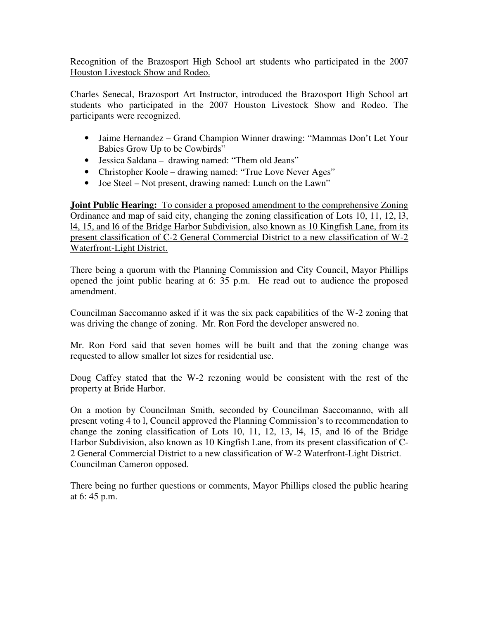Recognition of the Brazosport High School art students who participated in the 2007 Houston Livestock Show and Rodeo.

Charles Senecal, Brazosport Art Instructor, introduced the Brazosport High School art students who participated in the 2007 Houston Livestock Show and Rodeo. The participants were recognized.

- Jaime Hernandez Grand Champion Winner drawing: "Mammas Don't Let Your Babies Grow Up to be Cowbirds"
- Jessica Saldana drawing named: "Them old Jeans"
- Christopher Koole drawing named: "True Love Never Ages"
- Joe Steel Not present, drawing named: Lunch on the Lawn"

**Joint Public Hearing:** To consider a proposed amendment to the comprehensive Zoning Ordinance and map of said city, changing the zoning classification of Lots 10, 11, 12, l3, l4, 15, and l6 of the Bridge Harbor Subdivision, also known as 10 Kingfish Lane, from its present classification of C-2 General Commercial District to a new classification of W-2 Waterfront-Light District.

There being a quorum with the Planning Commission and City Council, Mayor Phillips opened the joint public hearing at 6: 35 p.m. He read out to audience the proposed amendment.

Councilman Saccomanno asked if it was the six pack capabilities of the W-2 zoning that was driving the change of zoning. Mr. Ron Ford the developer answered no.

Mr. Ron Ford said that seven homes will be built and that the zoning change was requested to allow smaller lot sizes for residential use.

Doug Caffey stated that the W-2 rezoning would be consistent with the rest of the property at Bride Harbor.

On a motion by Councilman Smith, seconded by Councilman Saccomanno, with all present voting 4 to l, Council approved the Planning Commission's to recommendation to change the zoning classification of Lots 10, 11, 12, 13, l4, 15, and l6 of the Bridge Harbor Subdivision, also known as 10 Kingfish Lane, from its present classification of C-2 General Commercial District to a new classification of W-2 Waterfront-Light District. Councilman Cameron opposed.

There being no further questions or comments, Mayor Phillips closed the public hearing at 6: 45 p.m.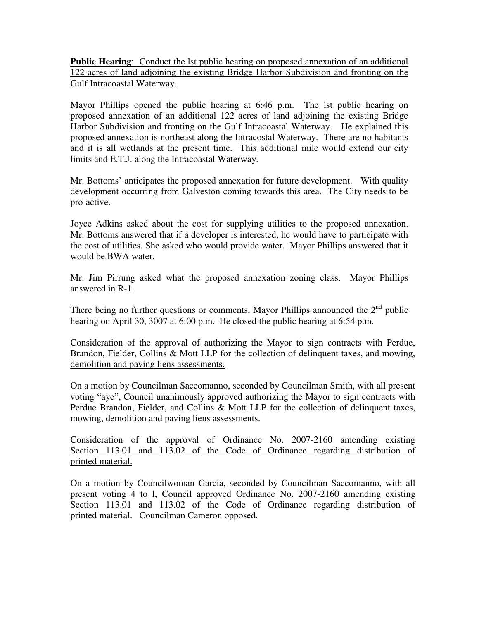**Public Hearing**: Conduct the lst public hearing on proposed annexation of an additional 122 acres of land adjoining the existing Bridge Harbor Subdivision and fronting on the Gulf Intracoastal Waterway.

Mayor Phillips opened the public hearing at 6:46 p.m. The lst public hearing on proposed annexation of an additional 122 acres of land adjoining the existing Bridge Harbor Subdivision and fronting on the Gulf Intracoastal Waterway. He explained this proposed annexation is northeast along the Intracostal Waterway. There are no habitants and it is all wetlands at the present time. This additional mile would extend our city limits and E.T.J. along the Intracoastal Waterway.

Mr. Bottoms' anticipates the proposed annexation for future development. With quality development occurring from Galveston coming towards this area. The City needs to be pro-active.

Joyce Adkins asked about the cost for supplying utilities to the proposed annexation. Mr. Bottoms answered that if a developer is interested, he would have to participate with the cost of utilities. She asked who would provide water. Mayor Phillips answered that it would be BWA water.

Mr. Jim Pirrung asked what the proposed annexation zoning class. Mayor Phillips answered in R-1.

There being no further questions or comments, Mayor Phillips announced the  $2<sup>nd</sup>$  public hearing on April 30, 3007 at 6:00 p.m. He closed the public hearing at 6:54 p.m.

Consideration of the approval of authorizing the Mayor to sign contracts with Perdue, Brandon, Fielder, Collins & Mott LLP for the collection of delinquent taxes, and mowing, demolition and paving liens assessments.

On a motion by Councilman Saccomanno, seconded by Councilman Smith, with all present voting "aye", Council unanimously approved authorizing the Mayor to sign contracts with Perdue Brandon, Fielder, and Collins & Mott LLP for the collection of delinquent taxes, mowing, demolition and paving liens assessments.

Consideration of the approval of Ordinance No. 2007-2160 amending existing Section 113.01 and 113.02 of the Code of Ordinance regarding distribution of printed material.

On a motion by Councilwoman Garcia, seconded by Councilman Saccomanno, with all present voting 4 to l, Council approved Ordinance No. 2007-2160 amending existing Section 113.01 and 113.02 of the Code of Ordinance regarding distribution of printed material. Councilman Cameron opposed.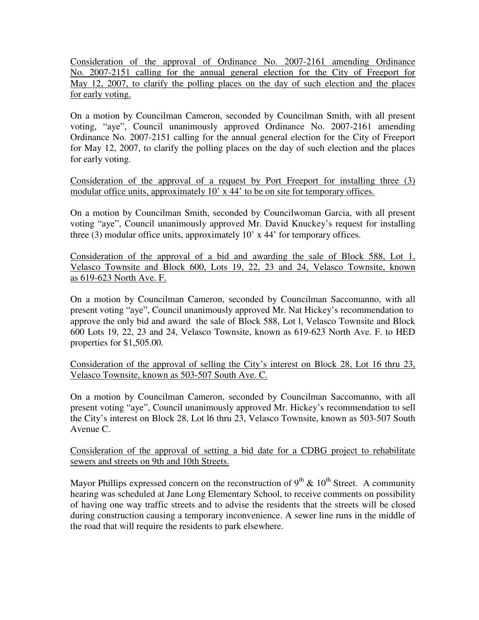Consideration of the approval of Ordinance No. 2007-2161 amending Ordinance No. 2007-2151 calling for the annual general election for the City of Freeport for May 12, 2007, to clarify the polling places on the day of such election and the places for early voting.

On a motion by Councilman Cameron, seconded by Councilman Smith, with all present voting, "aye", Council unanimously approved Ordinance No. 2007-2161 amending Ordinance No. 2007-2151 calling for the annual general election for the City of Freeport for May 12, 2007, to clarify the polling places on the day of such election and the places for early voting.

Consideration of the approval of a request by Port Freeport for installing three (3) modular office units, approximately 10' x 44' to be on site for temporary offices.

On a motion by Councilman Smith, seconded by Councilwoman Garcia, with all present voting "aye", Council unanimously approved Mr. David Knuckey's request for installing three (3) modular office units, approximately 10' x 44' for temporary offices.

Consideration of the approval of a bid and awarding the sale of Block 588, Lot 1, Velasco Townsite and Block 600, Lots 19, 22, 23 and 24, Velasco Townsite, known as 619-623 North Ave. F.

On a motion by Councilman Cameron, seconded by Councilman Saccomanno, with all present voting "aye", Council unanimously approved Mr. Nat Hickey's recommendation to approve the only bid and award the sale of Block 588, Lot l, Velasco Townsite and Block 600 Lots 19, 22, 23 and 24, Velasco Townsite, known as 619-623 North Ave. F. to HED properties for \$1,505.00.

Consideration of the approval of selling the City's interest on Block 28, Lot 16 thru 23, Velasco Townsite, known as 503-507 South Ave. C.

On a motion by Councilman Cameron, seconded by Councilman Saccomanno, with all present voting "aye", Council unanimously approved Mr. Hickey's recommendation to sell the City's interest on Block 28, Lot l6 thru 23, Velasco Townsite, known as 503-507 South Avenue C.

Consideration of the approval of setting a bid date for a CDBG project to rehabilitate sewers and streets on 9th and 10th Streets.

Mayor Phillips expressed concern on the reconstruction of  $9^{th}$  &  $10^{th}$  Street. A community hearing was scheduled at Jane Long Elementary School, to receive comments on possibility of having one way traffic streets and to advise the residents that the streets will be closed during construction causing a temporary inconvenience. A sewer line runs in the middle of the road that will require the residents to park elsewhere.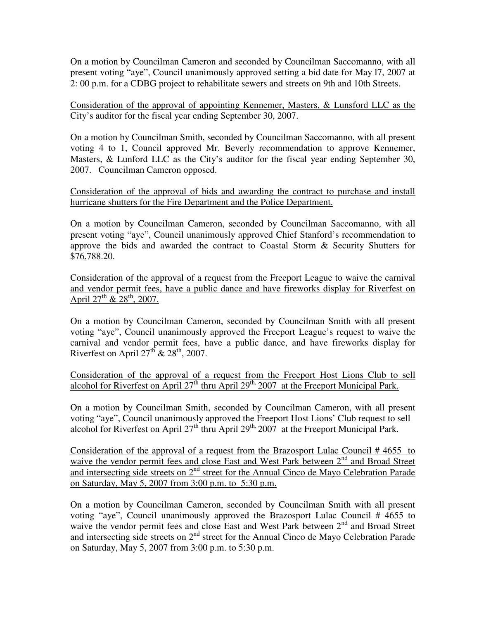On a motion by Councilman Cameron and seconded by Councilman Saccomanno, with all present voting "aye", Council unanimously approved setting a bid date for May l7, 2007 at 2: 00 p.m. for a CDBG project to rehabilitate sewers and streets on 9th and 10th Streets.

Consideration of the approval of appointing Kennemer, Masters, & Lunsford LLC as the City's auditor for the fiscal year ending September 30, 2007.

On a motion by Councilman Smith, seconded by Councilman Saccomanno, with all present voting 4 to 1, Council approved Mr. Beverly recommendation to approve Kennemer, Masters, & Lunford LLC as the City's auditor for the fiscal year ending September 30, 2007. Councilman Cameron opposed.

Consideration of the approval of bids and awarding the contract to purchase and install hurricane shutters for the Fire Department and the Police Department.

On a motion by Councilman Cameron, seconded by Councilman Saccomanno, with all present voting "aye", Council unanimously approved Chief Stanford's recommendation to approve the bids and awarded the contract to Coastal Storm & Security Shutters for \$76,788.20.

Consideration of the approval of a request from the Freeport League to waive the carnival and vendor permit fees, have a public dance and have fireworks display for Riverfest on April  $27^{\text{th}}$  &  $28^{\text{th}}$ , 2007.

On a motion by Councilman Cameron, seconded by Councilman Smith with all present voting "aye", Council unanimously approved the Freeport League's request to waive the carnival and vendor permit fees, have a public dance, and have fireworks display for Riverfest on April  $27<sup>th</sup>$  &  $28<sup>th</sup>$ , 2007.

Consideration of the approval of a request from the Freeport Host Lions Club to sell alcohol for Riverfest on April 27<sup>th</sup> thru April 29<sup>th,</sup> 2007 at the Freeport Municipal Park.

On a motion by Councilman Smith, seconded by Councilman Cameron, with all present voting "aye", Council unanimously approved the Freeport Host Lions' Club request to sell alcohol for Riverfest on April 27<sup>th</sup> thru April 29<sup>th,</sup> 2007 at the Freeport Municipal Park.

Consideration of the approval of a request from the Brazosport Lulac Council # 4655 to waive the vendor permit fees and close East and West Park between 2<sup>nd</sup> and Broad Street and intersecting side streets on 2<sup>nd</sup> street for the Annual Cinco de Mayo Celebration Parade on Saturday, May 5, 2007 from 3:00 p.m. to 5:30 p.m.

On a motion by Councilman Cameron, seconded by Councilman Smith with all present voting "aye", Council unanimously approved the Brazosport Lulac Council # 4655 to waive the vendor permit fees and close East and West Park between 2<sup>nd</sup> and Broad Street and intersecting side streets on 2<sup>nd</sup> street for the Annual Cinco de Mayo Celebration Parade on Saturday, May 5, 2007 from 3:00 p.m. to 5:30 p.m.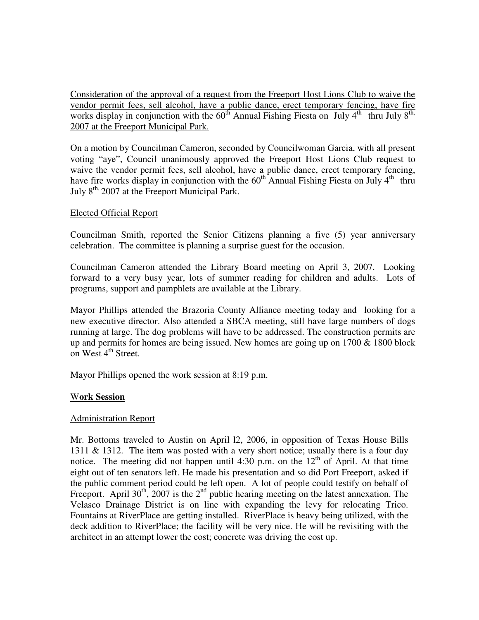Consideration of the approval of a request from the Freeport Host Lions Club to waive the vendor permit fees, sell alcohol, have a public dance, erect temporary fencing, have fire works display in conjunction with the  $60^{t}$  Annual Fishing Fiesta on July 4<sup>th</sup> thru July  $8^{t}$ 2007 at the Freeport Municipal Park.

On a motion by Councilman Cameron, seconded by Councilwoman Garcia, with all present voting "aye", Council unanimously approved the Freeport Host Lions Club request to waive the vendor permit fees, sell alcohol, have a public dance, erect temporary fencing, have fire works display in conjunction with the  $60^{th}$  Annual Fishing Fiesta on July  $4^{th}$  thru July 8<sup>th,</sup> 2007 at the Freeport Municipal Park.

#### Elected Official Report

Councilman Smith, reported the Senior Citizens planning a five (5) year anniversary celebration. The committee is planning a surprise guest for the occasion.

Councilman Cameron attended the Library Board meeting on April 3, 2007. Looking forward to a very busy year, lots of summer reading for children and adults. Lots of programs, support and pamphlets are available at the Library.

Mayor Phillips attended the Brazoria County Alliance meeting today and looking for a new executive director. Also attended a SBCA meeting, still have large numbers of dogs running at large. The dog problems will have to be addressed. The construction permits are up and permits for homes are being issued. New homes are going up on  $1700 \& 1800$  block on West 4<sup>th</sup> Street.

Mayor Phillips opened the work session at 8:19 p.m.

#### W**ork Session**

#### Administration Report

Mr. Bottoms traveled to Austin on April l2, 2006, in opposition of Texas House Bills 1311 & 1312. The item was posted with a very short notice; usually there is a four day notice. The meeting did not happen until 4:30 p.m. on the  $12<sup>th</sup>$  of April. At that time eight out of ten senators left. He made his presentation and so did Port Freeport, asked if the public comment period could be left open. A lot of people could testify on behalf of Freeport. April  $30<sup>th</sup>$ , 2007 is the  $2<sup>nd</sup>$  public hearing meeting on the latest annexation. The Velasco Drainage District is on line with expanding the levy for relocating Trico. Fountains at RiverPlace are getting installed. RiverPlace is heavy being utilized, with the deck addition to RiverPlace; the facility will be very nice. He will be revisiting with the architect in an attempt lower the cost; concrete was driving the cost up.